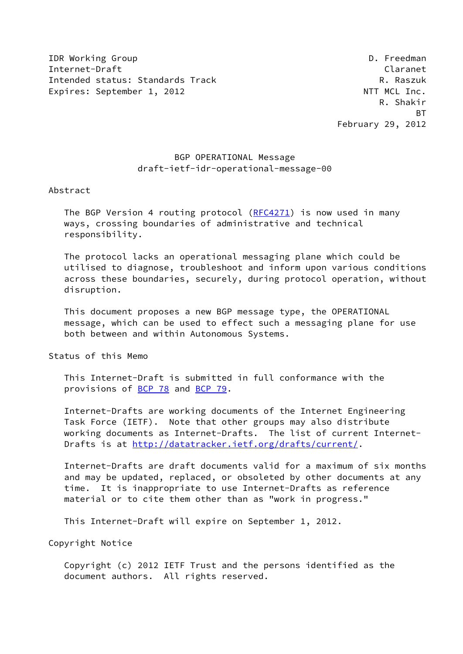IDR Working Group **D. Freedman** Internet-Draft Claranet Intended status: Standards Track R. Raszuk Expires: September 1, 2012 and the contract of the NTT MCL Inc.

# BGP OPERATIONAL Message draft-ietf-idr-operational-message-00

Abstract

The BGP Version 4 routing protocol ([RFC4271\)](https://datatracker.ietf.org/doc/pdf/rfc4271) is now used in many ways, crossing boundaries of administrative and technical responsibility.

 The protocol lacks an operational messaging plane which could be utilised to diagnose, troubleshoot and inform upon various conditions across these boundaries, securely, during protocol operation, without disruption.

 This document proposes a new BGP message type, the OPERATIONAL message, which can be used to effect such a messaging plane for use both between and within Autonomous Systems.

Status of this Memo

 This Internet-Draft is submitted in full conformance with the provisions of [BCP 78](https://datatracker.ietf.org/doc/pdf/bcp78) and [BCP 79](https://datatracker.ietf.org/doc/pdf/bcp79).

 Internet-Drafts are working documents of the Internet Engineering Task Force (IETF). Note that other groups may also distribute working documents as Internet-Drafts. The list of current Internet- Drafts is at<http://datatracker.ietf.org/drafts/current/>.

 Internet-Drafts are draft documents valid for a maximum of six months and may be updated, replaced, or obsoleted by other documents at any time. It is inappropriate to use Internet-Drafts as reference material or to cite them other than as "work in progress."

This Internet-Draft will expire on September 1, 2012.

Copyright Notice

 Copyright (c) 2012 IETF Trust and the persons identified as the document authors. All rights reserved.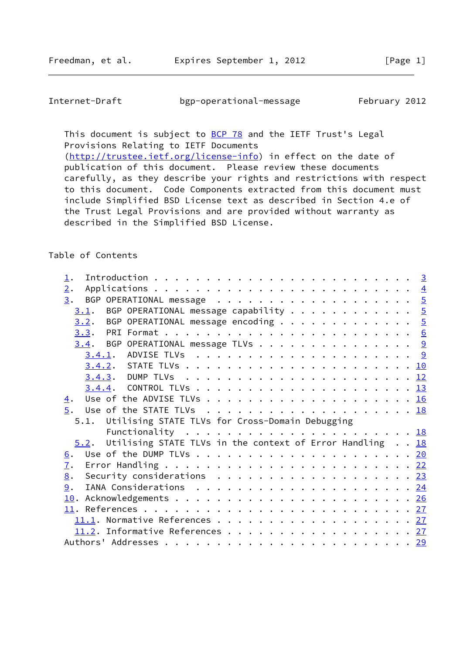Internet-Draft bgp-operational-message February 2012

This document is subject to **[BCP 78](https://datatracker.ietf.org/doc/pdf/bcp78)** and the IETF Trust's Legal Provisions Relating to IETF Documents

 [\(http://trustee.ietf.org/license-info](http://trustee.ietf.org/license-info)) in effect on the date of publication of this document. Please review these documents carefully, as they describe your rights and restrictions with respect to this document. Code Components extracted from this document must include Simplified BSD License text as described in Section 4.e of the Trust Legal Provisions and are provided without warranty as described in the Simplified BSD License.

# Table of Contents

| $\overline{2}$ .  |                                                                                       |  |  |  |  |
|-------------------|---------------------------------------------------------------------------------------|--|--|--|--|
|                   |                                                                                       |  |  |  |  |
|                   | $\underline{3.1}$ . BGP OPERATIONAL message capability 5                              |  |  |  |  |
|                   | $3.2$ . BGP OPERATIONAL message encoding 5                                            |  |  |  |  |
|                   |                                                                                       |  |  |  |  |
|                   | $3.4$ . BGP OPERATIONAL message TLVs 9                                                |  |  |  |  |
|                   |                                                                                       |  |  |  |  |
|                   |                                                                                       |  |  |  |  |
|                   |                                                                                       |  |  |  |  |
|                   |                                                                                       |  |  |  |  |
| $\overline{4}$ .  |                                                                                       |  |  |  |  |
|                   |                                                                                       |  |  |  |  |
|                   | 5.1. Utilising STATE TLVs for Cross-Domain Debugging                                  |  |  |  |  |
|                   | Functionality $\ldots \ldots \ldots \ldots \ldots \ldots \ldots \ldots \frac{18}{18}$ |  |  |  |  |
|                   | 5.2. Utilising STATE TLVs in the context of Error Handling 18                         |  |  |  |  |
| $\underline{6}$ . |                                                                                       |  |  |  |  |
| $\overline{1}$ .  |                                                                                       |  |  |  |  |
|                   |                                                                                       |  |  |  |  |
|                   | 8. Security considerations 23                                                         |  |  |  |  |
| 9.                |                                                                                       |  |  |  |  |
|                   |                                                                                       |  |  |  |  |
|                   |                                                                                       |  |  |  |  |
|                   | 11.1. Normative References 27                                                         |  |  |  |  |
|                   | 11.2. Informative References 27                                                       |  |  |  |  |
|                   |                                                                                       |  |  |  |  |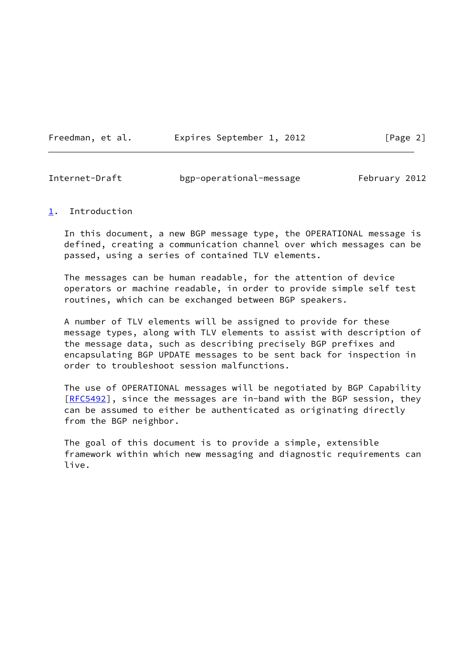Freedman, et al. Expires September 1, 2012 [Page 2]

<span id="page-2-1"></span>Internet-Draft bgp-operational-message February 2012

### <span id="page-2-0"></span>[1](#page-2-0). Introduction

 In this document, a new BGP message type, the OPERATIONAL message is defined, creating a communication channel over which messages can be passed, using a series of contained TLV elements.

 The messages can be human readable, for the attention of device operators or machine readable, in order to provide simple self test routines, which can be exchanged between BGP speakers.

 A number of TLV elements will be assigned to provide for these message types, along with TLV elements to assist with description of the message data, such as describing precisely BGP prefixes and encapsulating BGP UPDATE messages to be sent back for inspection in order to troubleshoot session malfunctions.

 The use of OPERATIONAL messages will be negotiated by BGP Capability [\[RFC5492](https://datatracker.ietf.org/doc/pdf/rfc5492)], since the messages are in-band with the BGP session, they can be assumed to either be authenticated as originating directly from the BGP neighbor.

 The goal of this document is to provide a simple, extensible framework within which new messaging and diagnostic requirements can live.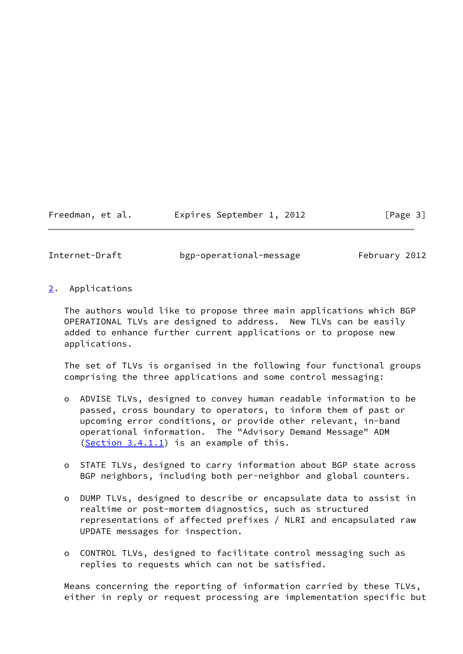## Freedman, et al. 
Expires September 1, 2012
[Page 3]

<span id="page-3-1"></span>

Internet-Draft bgp-operational-message February 2012

<span id="page-3-0"></span>[2](#page-3-0). Applications

 The authors would like to propose three main applications which BGP OPERATIONAL TLVs are designed to address. New TLVs can be easily added to enhance further current applications or to propose new applications.

 The set of TLVs is organised in the following four functional groups comprising the three applications and some control messaging:

- o ADVISE TLVs, designed to convey human readable information to be passed, cross boundary to operators, to inform them of past or upcoming error conditions, or provide other relevant, in-band operational information. The "Advisory Demand Message" ADM ([Section 3.4.1.1\)](#page-9-3) is an example of this.
- o STATE TLVs, designed to carry information about BGP state across BGP neighbors, including both per-neighbor and global counters.
- o DUMP TLVs, designed to describe or encapsulate data to assist in realtime or post-mortem diagnostics, such as structured representations of affected prefixes / NLRI and encapsulated raw UPDATE messages for inspection.
- o CONTROL TLVs, designed to facilitate control messaging such as replies to requests which can not be satisfied.

 Means concerning the reporting of information carried by these TLVs, either in reply or request processing are implementation specific but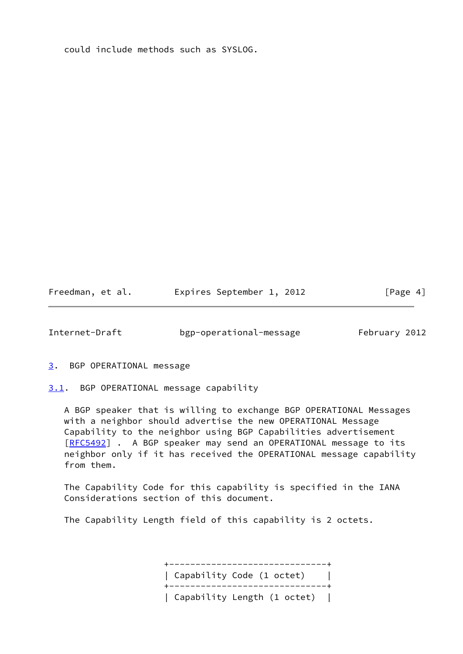could include methods such as SYSLOG.

Freedman, et al. **Expires September 1, 2012** [Page 4]

<span id="page-4-1"></span>Internet-Draft bgp-operational-message February 2012

<span id="page-4-0"></span>[3](#page-4-0). BGP OPERATIONAL message

<span id="page-4-2"></span>[3.1](#page-4-2). BGP OPERATIONAL message capability

 A BGP speaker that is willing to exchange BGP OPERATIONAL Messages with a neighbor should advertise the new OPERATIONAL Message Capability to the neighbor using BGP Capabilities advertisement [\[RFC5492](https://datatracker.ietf.org/doc/pdf/rfc5492)] . A BGP speaker may send an OPERATIONAL message to its neighbor only if it has received the OPERATIONAL message capability from them.

 The Capability Code for this capability is specified in the IANA Considerations section of this document.

The Capability Length field of this capability is 2 octets.

 +------------------------------+ | Capability Code (1 octet) | +------------------------------+ | Capability Length (1 octet) |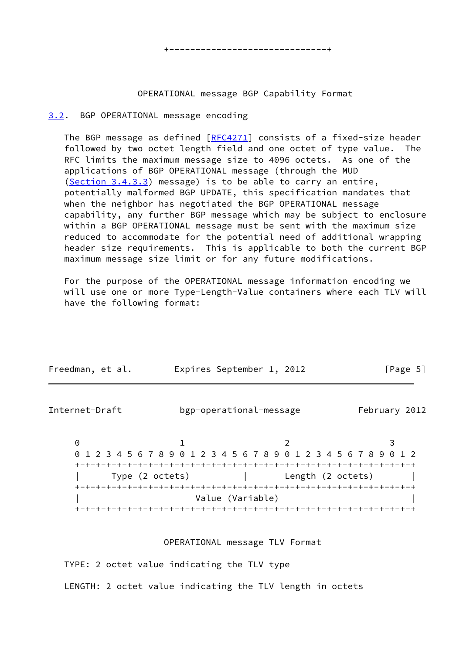### OPERATIONAL message BGP Capability Format

## <span id="page-5-0"></span>[3.2](#page-5-0). BGP OPERATIONAL message encoding

The BGP message as defined  $[REC4271]$  consists of a fixed-size header followed by two octet length field and one octet of type value. The RFC limits the maximum message size to 4096 octets. As one of the applications of BGP OPERATIONAL message (through the MUD [\(Section 3.4.3.3](#page-13-1)) message) is to be able to carry an entire, potentially malformed BGP UPDATE, this specification mandates that when the neighbor has negotiated the BGP OPERATIONAL message capability, any further BGP message which may be subject to enclosure within a BGP OPERATIONAL message must be sent with the maximum size reduced to accommodate for the potential need of additional wrapping header size requirements. This is applicable to both the current BGP maximum message size limit or for any future modifications.

 For the purpose of the OPERATIONAL message information encoding we will use one or more Type-Length-Value containers where each TLV will have the following format:

| Freedman, et al. |  | Expires September 1, 2012 |  | [Page 5] |  |
|------------------|--|---------------------------|--|----------|--|
|                  |  |                           |  |          |  |

<span id="page-5-1"></span>

| Internet-Draft  | bgp-operational-message                                           |                                 | February 2012 |
|-----------------|-------------------------------------------------------------------|---------------------------------|---------------|
| 0               |                                                                   |                                 |               |
|                 | 0 1 2 3 4 5 6 7 8 9 0 1 2 3 4 5 6 7 8 9 0 1 2 3 4 5 6 7 8 9 0 1 2 |                                 |               |
|                 |                                                                   |                                 |               |
| Type (2 octets) |                                                                   | Length (2 octets)               |               |
|                 |                                                                   | +-+-+-+-+-+-+-+-+-+-+-+-+-+-+-+ |               |
|                 | Value (Variable)                                                  |                                 |               |
|                 |                                                                   |                                 |               |

## OPERATIONAL message TLV Format

TYPE: 2 octet value indicating the TLV type

LENGTH: 2 octet value indicating the TLV length in octets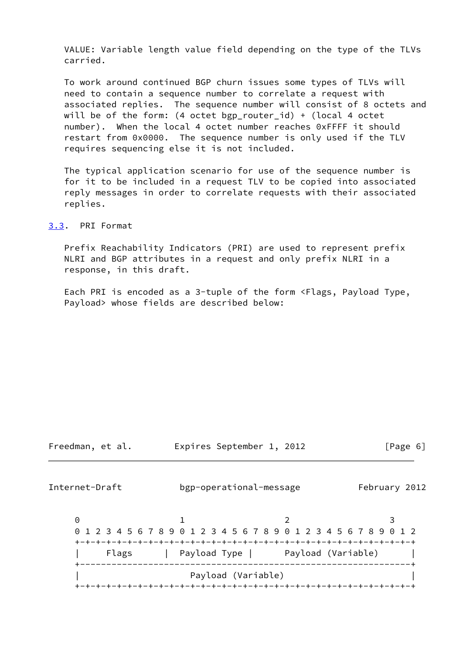VALUE: Variable length value field depending on the type of the TLVs carried.

 To work around continued BGP churn issues some types of TLVs will need to contain a sequence number to correlate a request with associated replies. The sequence number will consist of 8 octets and will be of the form: (4 octet bgp router id) + (local 4 octet number). When the local 4 octet number reaches 0xFFFF it should restart from 0x0000. The sequence number is only used if the TLV requires sequencing else it is not included.

 The typical application scenario for use of the sequence number is for it to be included in a request TLV to be copied into associated reply messages in order to correlate requests with their associated replies.

<span id="page-6-0"></span>[3.3](#page-6-0). PRI Format

 Prefix Reachability Indicators (PRI) are used to represent prefix NLRI and BGP attributes in a request and only prefix NLRI in a response, in this draft.

 Each PRI is encoded as a 3-tuple of the form <Flags, Payload Type, Payload> whose fields are described below:

Freedman, et al. **Expires September 1, 2012** [Page 6]

Internet-Draft bgp-operational-message February 2012

0 1 2 3 0 1 2 3 4 5 6 7 8 9 0 1 2 3 4 5 6 7 8 9 0 1 2 3 4 5 6 7 8 9 0 1 2 +-+-+-+-+-+-+-+-+-+-+-+-+-+-+-+-+-+-+-+-+-+-+-+-+-+-+-+-+-+-+-+-+ Flags | Payload Type | Payload (Variable) +---------------------------------------------------------------+ | Payload (Variable) | +-+-+-+-+-+-+-+-+-+-+-+-+-+-+-+-+-+-+-+-+-+-+-+-+-+-+-+-+-+-+-+-+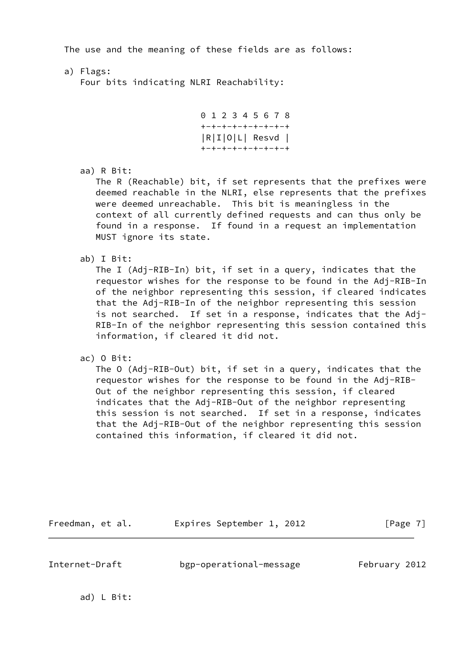The use and the meaning of these fields are as follows:

a) Flags:

Four bits indicating NLRI Reachability:

```
 0 1 2 3 4 5 6 7 8
 +-+-+-+-+-+-+-+-+
 |R|I|O|L| Resvd |
 +-+-+-+-+-+-+-+-+
```
aa) R Bit:

 The R (Reachable) bit, if set represents that the prefixes were deemed reachable in the NLRI, else represents that the prefixes were deemed unreachable. This bit is meaningless in the context of all currently defined requests and can thus only be found in a response. If found in a request an implementation MUST ignore its state.

ab) I Bit:

 The I (Adj-RIB-In) bit, if set in a query, indicates that the requestor wishes for the response to be found in the Adj-RIB-In of the neighbor representing this session, if cleared indicates that the Adj-RIB-In of the neighbor representing this session is not searched. If set in a response, indicates that the Adj- RIB-In of the neighbor representing this session contained this information, if cleared it did not.

ac) O Bit:

 The O (Adj-RIB-Out) bit, if set in a query, indicates that the requestor wishes for the response to be found in the Adj-RIB- Out of the neighbor representing this session, if cleared indicates that the Adj-RIB-Out of the neighbor representing this session is not searched. If set in a response, indicates that the Adj-RIB-Out of the neighbor representing this session contained this information, if cleared it did not.

Freedman, et al. 
Expires September 1, 2012
[Page 7]

Internet-Draft bgp-operational-message February 2012

ad) L Bit: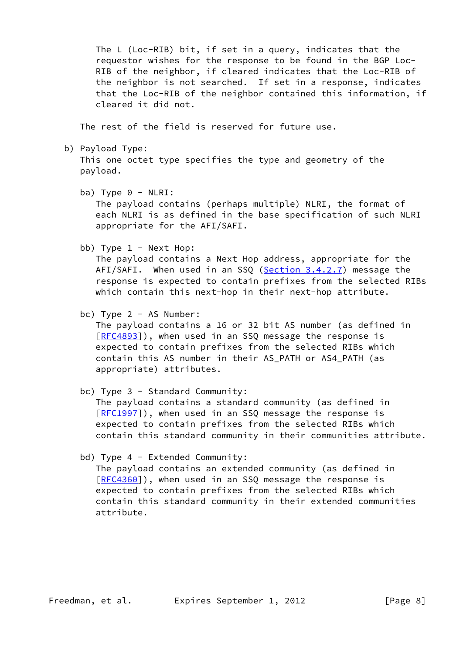The L (Loc-RIB) bit, if set in a query, indicates that the requestor wishes for the response to be found in the BGP Loc- RIB of the neighbor, if cleared indicates that the Loc-RIB of the neighbor is not searched. If set in a response, indicates that the Loc-RIB of the neighbor contained this information, if cleared it did not.

The rest of the field is reserved for future use.

b) Payload Type:

 This one octet type specifies the type and geometry of the payload.

ba) Type  $0 - NLRI$ :

 The payload contains (perhaps multiple) NLRI, the format of each NLRI is as defined in the base specification of such NLRI appropriate for the AFI/SAFI.

bb) Type  $1 -$  Next Hop:

 The payload contains a Next Hop address, appropriate for the AFI/SAFI. When used in an SSQ [\(Section 3.4.2.7](#page-12-2)) message the response is expected to contain prefixes from the selected RIBs which contain this next-hop in their next-hop attribute.

bc) Type 2 - AS Number:

 The payload contains a 16 or 32 bit AS number (as defined in [[RFC4893](https://datatracker.ietf.org/doc/pdf/rfc4893)]), when used in an SSQ message the response is expected to contain prefixes from the selected RIBs which contain this AS number in their AS\_PATH or AS4\_PATH (as appropriate) attributes.

bc) Type 3 - Standard Community:

 The payload contains a standard community (as defined in [[RFC1997](https://datatracker.ietf.org/doc/pdf/rfc1997)]), when used in an SSQ message the response is expected to contain prefixes from the selected RIBs which contain this standard community in their communities attribute.

bd) Type 4 - Extended Community:

 The payload contains an extended community (as defined in [[RFC4360](https://datatracker.ietf.org/doc/pdf/rfc4360)]), when used in an SSQ message the response is expected to contain prefixes from the selected RIBs which contain this standard community in their extended communities attribute.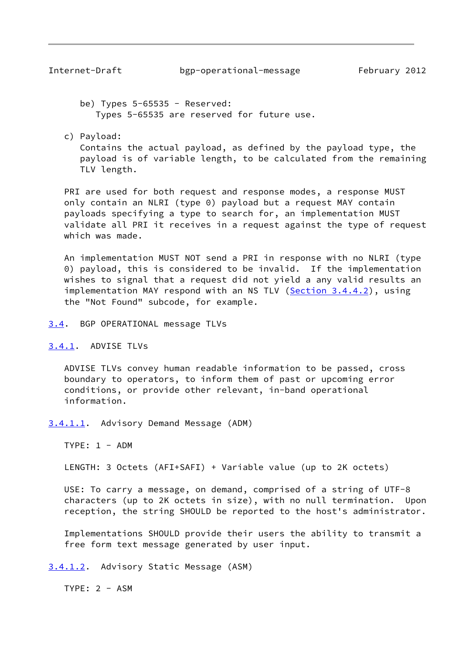<span id="page-9-1"></span>be) Types  $5-65535$  - Reserved: Types 5-65535 are reserved for future use.

c) Payload:

 Contains the actual payload, as defined by the payload type, the payload is of variable length, to be calculated from the remaining TLV length.

 PRI are used for both request and response modes, a response MUST only contain an NLRI (type 0) payload but a request MAY contain payloads specifying a type to search for, an implementation MUST validate all PRI it receives in a request against the type of request which was made.

 An implementation MUST NOT send a PRI in response with no NLRI (type 0) payload, this is considered to be invalid. If the implementation wishes to signal that a request did not yield a any valid results an implementation MAY respond with an NS TLV ([Section 3.4.4.2](#page-15-0)), using the "Not Found" subcode, for example.

<span id="page-9-0"></span>[3.4](#page-9-0). BGP OPERATIONAL message TLVs

<span id="page-9-2"></span>[3.4.1](#page-9-2). ADVISE TLVs

 ADVISE TLVs convey human readable information to be passed, cross boundary to operators, to inform them of past or upcoming error conditions, or provide other relevant, in-band operational information.

<span id="page-9-3"></span>[3.4.1.1](#page-9-3). Advisory Demand Message (ADM)

TYPE: 1 - ADM

LENGTH: 3 Octets (AFI+SAFI) + Variable value (up to 2K octets)

 USE: To carry a message, on demand, comprised of a string of UTF-8 characters (up to 2K octets in size), with no null termination. Upon reception, the string SHOULD be reported to the host's administrator.

 Implementations SHOULD provide their users the ability to transmit a free form text message generated by user input.

<span id="page-9-4"></span>[3.4.1.2](#page-9-4). Advisory Static Message (ASM)

TYPE: 2 - ASM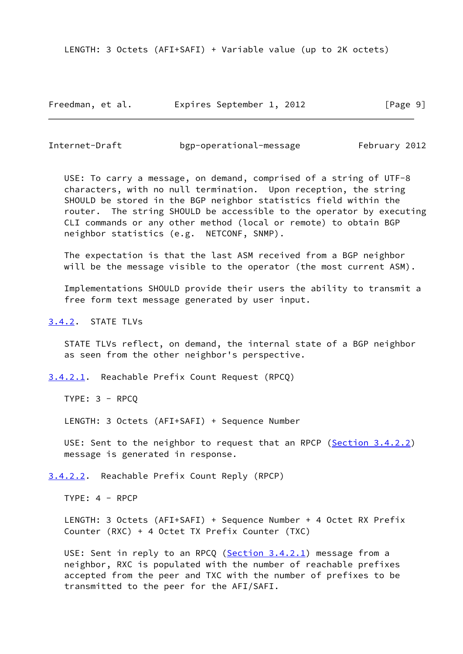LENGTH: 3 Octets (AFI+SAFI) + Variable value (up to 2K octets)

Freedman, et al. Expires September 1, 2012 [Page 9]

<span id="page-10-1"></span>Internet-Draft bgp-operational-message February 2012

 USE: To carry a message, on demand, comprised of a string of UTF-8 characters, with no null termination. Upon reception, the string SHOULD be stored in the BGP neighbor statistics field within the router. The string SHOULD be accessible to the operator by executing CLI commands or any other method (local or remote) to obtain BGP neighbor statistics (e.g. NETCONF, SNMP).

 The expectation is that the last ASM received from a BGP neighbor will be the message visible to the operator (the most current ASM).

 Implementations SHOULD provide their users the ability to transmit a free form text message generated by user input.

<span id="page-10-0"></span>[3.4.2](#page-10-0). STATE TLVs

 STATE TLVs reflect, on demand, the internal state of a BGP neighbor as seen from the other neighbor's perspective.

<span id="page-10-2"></span>[3.4.2.1](#page-10-2). Reachable Prefix Count Request (RPCQ)

TYPE: 3 - RPCQ

LENGTH: 3 Octets (AFI+SAFI) + Sequence Number

USE: Sent to the neighbor to request that an RPCP ([Section 3.4.2.2](#page-10-3)) message is generated in response.

<span id="page-10-3"></span>[3.4.2.2](#page-10-3). Reachable Prefix Count Reply (RPCP)

TYPE: 4 - RPCP

 LENGTH: 3 Octets (AFI+SAFI) + Sequence Number + 4 Octet RX Prefix Counter (RXC) + 4 Octet TX Prefix Counter (TXC)

USE: Sent in reply to an RPCQ ([Section 3.4.2.1](#page-10-2)) message from a neighbor, RXC is populated with the number of reachable prefixes accepted from the peer and TXC with the number of prefixes to be transmitted to the peer for the AFI/SAFI.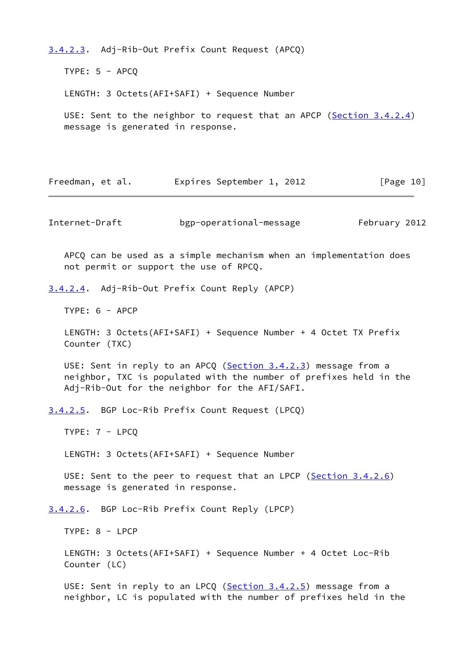<span id="page-11-0"></span>[3.4.2.3](#page-11-0). Adj-Rib-Out Prefix Count Request (APCQ)

TYPE:  $5 - APCO$ 

LENGTH: 3 Octets(AFI+SAFI) + Sequence Number

 USE: Sent to the neighbor to request that an APCP ([Section 3.4.2.4](#page-11-1)) message is generated in response.

Freedman, et al. 
Expires September 1, 2012
[Page 10]

Internet-Draft bgp-operational-message February 2012

 APCQ can be used as a simple mechanism when an implementation does not permit or support the use of RPCQ.

<span id="page-11-1"></span>[3.4.2.4](#page-11-1). Adj-Rib-Out Prefix Count Reply (APCP)

TYPE: 6 - APCP

 LENGTH: 3 Octets(AFI+SAFI) + Sequence Number + 4 Octet TX Prefix Counter (TXC)

USE: Sent in reply to an APCQ ([Section 3.4.2.3](#page-11-0)) message from a neighbor, TXC is populated with the number of prefixes held in the Adj-Rib-Out for the neighbor for the AFI/SAFI.

<span id="page-11-2"></span>[3.4.2.5](#page-11-2). BGP Loc-Rib Prefix Count Request (LPCQ)

TYPE: 7 - LPCQ

LENGTH: 3 Octets(AFI+SAFI) + Sequence Number

USE: Sent to the peer to request that an LPCP ([Section 3.4.2.6](#page-11-3)) message is generated in response.

<span id="page-11-3"></span>[3.4.2.6](#page-11-3). BGP Loc-Rib Prefix Count Reply (LPCP)

TYPE: 8 - LPCP

 LENGTH: 3 Octets(AFI+SAFI) + Sequence Number + 4 Octet Loc-Rib Counter (LC)

USE: Sent in reply to an LPCQ ([Section 3.4.2.5](#page-11-2)) message from a neighbor, LC is populated with the number of prefixes held in the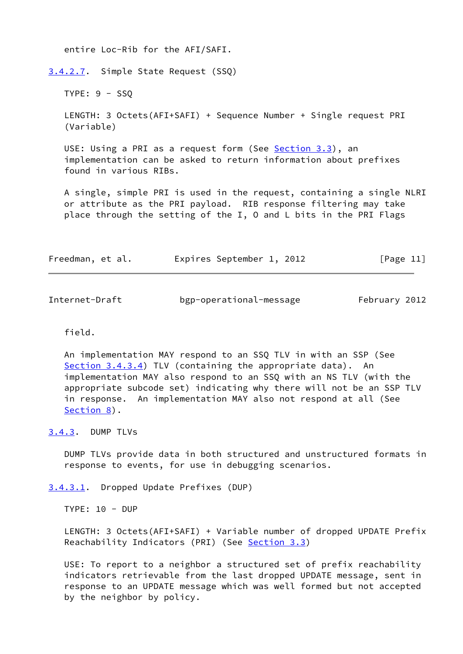entire Loc-Rib for the AFI/SAFI.

<span id="page-12-2"></span>[3.4.2.7](#page-12-2). Simple State Request (SSQ)

TYPE: 9 - SSQ

 LENGTH: 3 Octets(AFI+SAFI) + Sequence Number + Single request PRI (Variable)

USE: Using a PRI as a request form (See [Section 3.3](#page-6-0)), an implementation can be asked to return information about prefixes found in various RIBs.

 A single, simple PRI is used in the request, containing a single NLRI or attribute as the PRI payload. RIB response filtering may take place through the setting of the I, O and L bits in the PRI Flags

| Freedman, et al. | Expires September 1, 2012 | [Page 11] |
|------------------|---------------------------|-----------|
|------------------|---------------------------|-----------|

<span id="page-12-1"></span>

| Internet-Draft | bgp-operational-message | February 2012 |  |
|----------------|-------------------------|---------------|--|

field.

 An implementation MAY respond to an SSQ TLV in with an SSP (See [Section 3.4.3.4](#page-13-2)) TLV (containing the appropriate data). An implementation MAY also respond to an SSQ with an NS TLV (with the appropriate subcode set) indicating why there will not be an SSP TLV in response. An implementation MAY also not respond at all (See [Section 8](#page-25-0)).

<span id="page-12-0"></span>[3.4.3](#page-12-0). DUMP TLVs

 DUMP TLVs provide data in both structured and unstructured formats in response to events, for use in debugging scenarios.

<span id="page-12-3"></span>[3.4.3.1](#page-12-3). Dropped Update Prefixes (DUP)

TYPE: 10 - DUP

 LENGTH: 3 Octets(AFI+SAFI) + Variable number of dropped UPDATE Prefix Reachability Indicators (PRI) (See [Section 3.3](#page-6-0))

 USE: To report to a neighbor a structured set of prefix reachability indicators retrievable from the last dropped UPDATE message, sent in response to an UPDATE message which was well formed but not accepted by the neighbor by policy.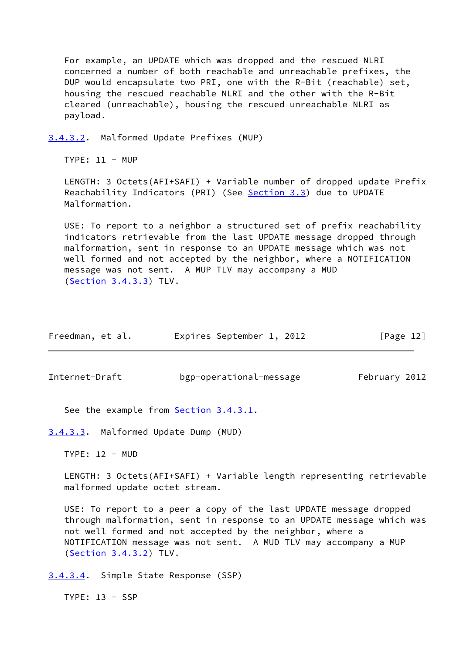For example, an UPDATE which was dropped and the rescued NLRI concerned a number of both reachable and unreachable prefixes, the DUP would encapsulate two PRI, one with the R-Bit (reachable) set, housing the rescued reachable NLRI and the other with the R-Bit cleared (unreachable), housing the rescued unreachable NLRI as payload.

<span id="page-13-3"></span>[3.4.3.2](#page-13-3). Malformed Update Prefixes (MUP)

TYPE: 11 - MUP

 LENGTH: 3 Octets(AFI+SAFI) + Variable number of dropped update Prefix Reachability Indicators (PRI) (See [Section 3.3](#page-6-0)) due to UPDATE Malformation.

 USE: To report to a neighbor a structured set of prefix reachability indicators retrievable from the last UPDATE message dropped through malformation, sent in response to an UPDATE message which was not well formed and not accepted by the neighbor, where a NOTIFICATION message was not sent. A MUP TLV may accompany a MUD [\(Section 3.4.3.3](#page-13-1)) TLV.

| Freedman, et al. | Expires September 1, 2012 |  | [Page 12] |
|------------------|---------------------------|--|-----------|
|------------------|---------------------------|--|-----------|

<span id="page-13-0"></span>Internet-Draft bgp-operational-message February 2012

See the example from **Section 3.4.3.1**.

<span id="page-13-1"></span>[3.4.3.3](#page-13-1). Malformed Update Dump (MUD)

TYPE: 12 - MUD

 LENGTH: 3 Octets(AFI+SAFI) + Variable length representing retrievable malformed update octet stream.

 USE: To report to a peer a copy of the last UPDATE message dropped through malformation, sent in response to an UPDATE message which was not well formed and not accepted by the neighbor, where a NOTIFICATION message was not sent. A MUD TLV may accompany a MUP [\(Section 3.4.3.2](#page-13-3)) TLV.

<span id="page-13-2"></span>[3.4.3.4](#page-13-2). Simple State Response (SSP)

TYPE: 13 - SSP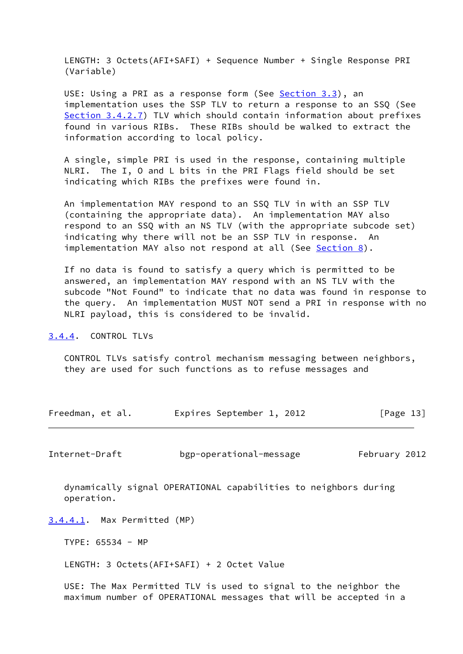LENGTH: 3 Octets(AFI+SAFI) + Sequence Number + Single Response PRI (Variable)

USE: Using a PRI as a response form (See [Section 3.3](#page-6-0)), an implementation uses the SSP TLV to return a response to an SSQ (See [Section 3.4.2.7](#page-12-2)) TLV which should contain information about prefixes found in various RIBs. These RIBs should be walked to extract the information according to local policy.

 A single, simple PRI is used in the response, containing multiple NLRI. The I, O and L bits in the PRI Flags field should be set indicating which RIBs the prefixes were found in.

 An implementation MAY respond to an SSQ TLV in with an SSP TLV (containing the appropriate data). An implementation MAY also respond to an SSQ with an NS TLV (with the appropriate subcode set) indicating why there will not be an SSP TLV in response. An implementation MAY also not respond at all (See [Section 8](#page-25-0)).

 If no data is found to satisfy a query which is permitted to be answered, an implementation MAY respond with an NS TLV with the subcode "Not Found" to indicate that no data was found in response to the query. An implementation MUST NOT send a PRI in response with no NLRI payload, this is considered to be invalid.

<span id="page-14-0"></span>[3.4.4](#page-14-0). CONTROL TLVs

 CONTROL TLVs satisfy control mechanism messaging between neighbors, they are used for such functions as to refuse messages and

| Freedman, et al. | Expires September 1, 2012 | [Page 13] |
|------------------|---------------------------|-----------|
|------------------|---------------------------|-----------|

Internet-Draft bgp-operational-message February 2012

 dynamically signal OPERATIONAL capabilities to neighbors during operation.

<span id="page-14-1"></span>[3.4.4.1](#page-14-1). Max Permitted (MP)

TYPE: 65534 - MP

LENGTH: 3 Octets(AFI+SAFI) + 2 Octet Value

 USE: The Max Permitted TLV is used to signal to the neighbor the maximum number of OPERATIONAL messages that will be accepted in a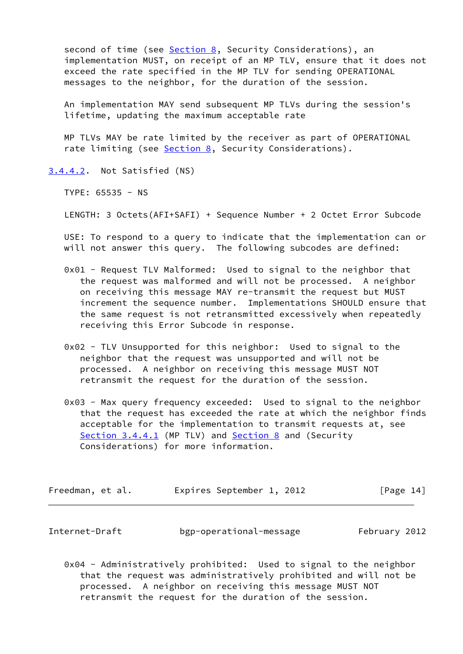second of time (see [Section 8,](#page-25-0) Security Considerations), an implementation MUST, on receipt of an MP TLV, ensure that it does not exceed the rate specified in the MP TLV for sending OPERATIONAL messages to the neighbor, for the duration of the session.

 An implementation MAY send subsequent MP TLVs during the session's lifetime, updating the maximum acceptable rate

 MP TLVs MAY be rate limited by the receiver as part of OPERATIONAL rate limiting (see [Section 8,](#page-25-0) Security Considerations).

<span id="page-15-0"></span>[3.4.4.2](#page-15-0). Not Satisfied (NS)

TYPE: 65535 - NS

LENGTH: 3 Octets(AFI+SAFI) + Sequence Number + 2 Octet Error Subcode

 USE: To respond to a query to indicate that the implementation can or will not answer this query. The following subcodes are defined:

- 0x01 Request TLV Malformed: Used to signal to the neighbor that the request was malformed and will not be processed. A neighbor on receiving this message MAY re-transmit the request but MUST increment the sequence number. Implementations SHOULD ensure that the same request is not retransmitted excessively when repeatedly receiving this Error Subcode in response.
- 0x02 TLV Unsupported for this neighbor: Used to signal to the neighbor that the request was unsupported and will not be processed. A neighbor on receiving this message MUST NOT retransmit the request for the duration of the session.
- 0x03 Max query frequency exceeded: Used to signal to the neighbor that the request has exceeded the rate at which the neighbor finds acceptable for the implementation to transmit requests at, see [Section 3.4.4.1](#page-14-1) (MP TLV) and [Section 8](#page-25-0) and (Security Considerations) for more information.

| Freedman, et al. | Expires September 1, 2012 | [Page 14] |
|------------------|---------------------------|-----------|
|------------------|---------------------------|-----------|

Internet-Draft bgp-operational-message February 2012

 0x04 - Administratively prohibited: Used to signal to the neighbor that the request was administratively prohibited and will not be processed. A neighbor on receiving this message MUST NOT retransmit the request for the duration of the session.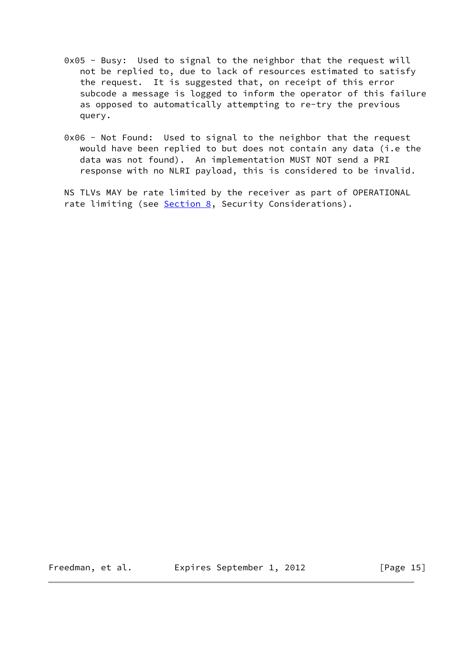- 0x05 Busy: Used to signal to the neighbor that the request will not be replied to, due to lack of resources estimated to satisfy the request. It is suggested that, on receipt of this error subcode a message is logged to inform the operator of this failure as opposed to automatically attempting to re-try the previous query.
- 0x06 Not Found: Used to signal to the neighbor that the request would have been replied to but does not contain any data (i.e the data was not found). An implementation MUST NOT send a PRI response with no NLRI payload, this is considered to be invalid.

 NS TLVs MAY be rate limited by the receiver as part of OPERATIONAL rate limiting (see [Section 8,](#page-25-0) Security Considerations).

Freedman, et al. Expires September 1, 2012 [Page 15]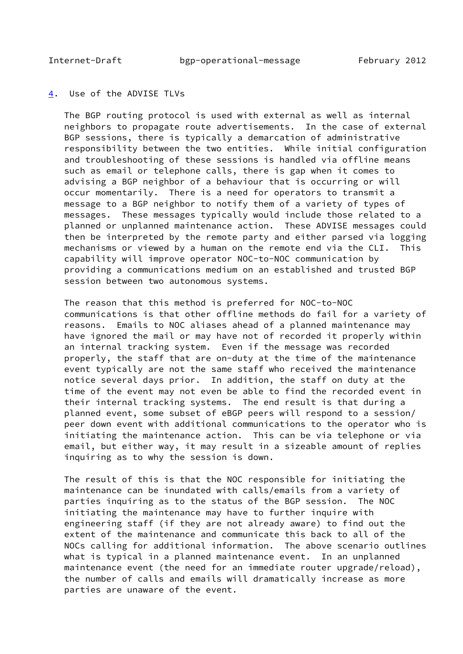Internet-Draft bgp-operational-message February 2012

<span id="page-17-1"></span>

## <span id="page-17-0"></span>[4](#page-17-0). Use of the ADVISE TLVs

 The BGP routing protocol is used with external as well as internal neighbors to propagate route advertisements. In the case of external BGP sessions, there is typically a demarcation of administrative responsibility between the two entities. While initial configuration and troubleshooting of these sessions is handled via offline means such as email or telephone calls, there is gap when it comes to advising a BGP neighbor of a behaviour that is occurring or will occur momentarily. There is a need for operators to transmit a message to a BGP neighbor to notify them of a variety of types of messages. These messages typically would include those related to a planned or unplanned maintenance action. These ADVISE messages could then be interpreted by the remote party and either parsed via logging mechanisms or viewed by a human on the remote end via the CLI. This capability will improve operator NOC-to-NOC communication by providing a communications medium on an established and trusted BGP session between two autonomous systems.

 The reason that this method is preferred for NOC-to-NOC communications is that other offline methods do fail for a variety of reasons. Emails to NOC aliases ahead of a planned maintenance may have ignored the mail or may have not of recorded it properly within an internal tracking system. Even if the message was recorded properly, the staff that are on-duty at the time of the maintenance event typically are not the same staff who received the maintenance notice several days prior. In addition, the staff on duty at the time of the event may not even be able to find the recorded event in their internal tracking systems. The end result is that during a planned event, some subset of eBGP peers will respond to a session/ peer down event with additional communications to the operator who is initiating the maintenance action. This can be via telephone or via email, but either way, it may result in a sizeable amount of replies inquiring as to why the session is down.

 The result of this is that the NOC responsible for initiating the maintenance can be inundated with calls/emails from a variety of parties inquiring as to the status of the BGP session. The NOC initiating the maintenance may have to further inquire with engineering staff (if they are not already aware) to find out the extent of the maintenance and communicate this back to all of the NOCs calling for additional information. The above scenario outlines what is typical in a planned maintenance event. In an unplanned maintenance event (the need for an immediate router upgrade/reload), the number of calls and emails will dramatically increase as more parties are unaware of the event.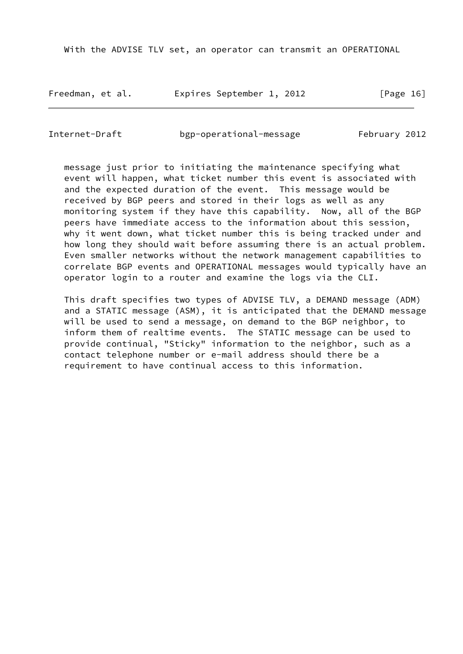With the ADVISE TLV set, an operator can transmit an OPERATIONAL

Freedman, et al. Expires September 1, 2012 [Page 16]

Internet-Draft bgp-operational-message February 2012

 message just prior to initiating the maintenance specifying what event will happen, what ticket number this event is associated with and the expected duration of the event. This message would be received by BGP peers and stored in their logs as well as any monitoring system if they have this capability. Now, all of the BGP peers have immediate access to the information about this session, why it went down, what ticket number this is being tracked under and how long they should wait before assuming there is an actual problem. Even smaller networks without the network management capabilities to correlate BGP events and OPERATIONAL messages would typically have an operator login to a router and examine the logs via the CLI.

 This draft specifies two types of ADVISE TLV, a DEMAND message (ADM) and a STATIC message (ASM), it is anticipated that the DEMAND message will be used to send a message, on demand to the BGP neighbor, to inform them of realtime events. The STATIC message can be used to provide continual, "Sticky" information to the neighbor, such as a contact telephone number or e-mail address should there be a requirement to have continual access to this information.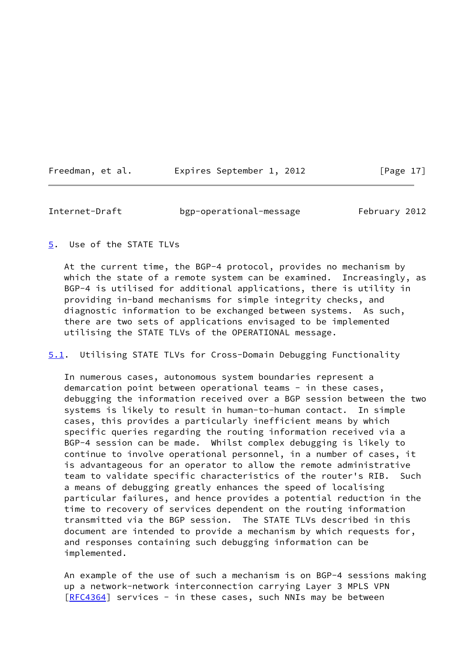| Expires September 1, 2012<br>Freedman, et al. |  |
|-----------------------------------------------|--|
|-----------------------------------------------|--|

<span id="page-19-1"></span>Internet-Draft bgp-operational-message February 2012

<span id="page-19-0"></span>[5](#page-19-0). Use of the STATE TLVs

 At the current time, the BGP-4 protocol, provides no mechanism by which the state of a remote system can be examined. Increasingly, as BGP-4 is utilised for additional applications, there is utility in providing in-band mechanisms for simple integrity checks, and diagnostic information to be exchanged between systems. As such, there are two sets of applications envisaged to be implemented utilising the STATE TLVs of the OPERATIONAL message.

<span id="page-19-2"></span>[5.1](#page-19-2). Utilising STATE TLVs for Cross-Domain Debugging Functionality

 In numerous cases, autonomous system boundaries represent a demarcation point between operational teams - in these cases, debugging the information received over a BGP session between the two systems is likely to result in human-to-human contact. In simple cases, this provides a particularly inefficient means by which specific queries regarding the routing information received via a BGP-4 session can be made. Whilst complex debugging is likely to continue to involve operational personnel, in a number of cases, it is advantageous for an operator to allow the remote administrative team to validate specific characteristics of the router's RIB. Such a means of debugging greatly enhances the speed of localising particular failures, and hence provides a potential reduction in the time to recovery of services dependent on the routing information transmitted via the BGP session. The STATE TLVs described in this document are intended to provide a mechanism by which requests for, and responses containing such debugging information can be implemented.

 An example of the use of such a mechanism is on BGP-4 sessions making up a network-network interconnection carrying Layer 3 MPLS VPN [\[RFC4364](https://datatracker.ietf.org/doc/pdf/rfc4364)] services - in these cases, such NNIs may be between

 $[Page 17]$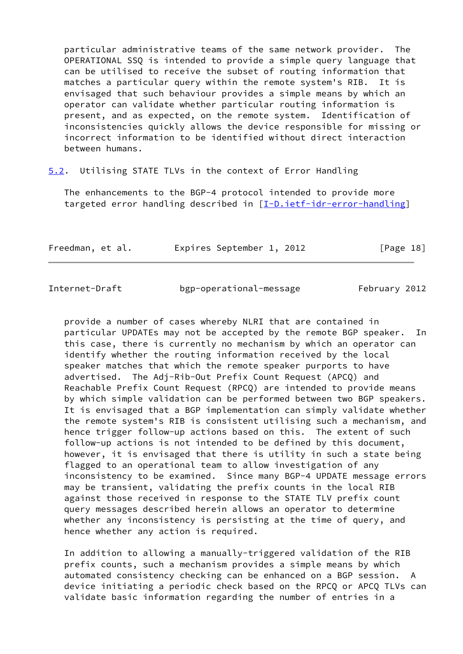particular administrative teams of the same network provider. The OPERATIONAL SSQ is intended to provide a simple query language that can be utilised to receive the subset of routing information that matches a particular query within the remote system's RIB. It is envisaged that such behaviour provides a simple means by which an operator can validate whether particular routing information is present, and as expected, on the remote system. Identification of inconsistencies quickly allows the device responsible for missing or incorrect information to be identified without direct interaction between humans.

<span id="page-20-0"></span>[5.2](#page-20-0). Utilising STATE TLVs in the context of Error Handling

 The enhancements to the BGP-4 protocol intended to provide more targeted error handling described in [\[I-D.ietf-idr-error-handling](#page-30-1)]

| Freedman, et al. |  | Expires September 1, 2012 |  | [Page 18] |  |
|------------------|--|---------------------------|--|-----------|--|
|                  |  |                           |  |           |  |

bgp-operational-message February 2012

 provide a number of cases whereby NLRI that are contained in particular UPDATEs may not be accepted by the remote BGP speaker. In this case, there is currently no mechanism by which an operator can identify whether the routing information received by the local speaker matches that which the remote speaker purports to have advertised. The Adj-Rib-Out Prefix Count Request (APCQ) and Reachable Prefix Count Request (RPCQ) are intended to provide means by which simple validation can be performed between two BGP speakers. It is envisaged that a BGP implementation can simply validate whether the remote system's RIB is consistent utilising such a mechanism, and hence trigger follow-up actions based on this. The extent of such follow-up actions is not intended to be defined by this document, however, it is envisaged that there is utility in such a state being flagged to an operational team to allow investigation of any inconsistency to be examined. Since many BGP-4 UPDATE message errors may be transient, validating the prefix counts in the local RIB against those received in response to the STATE TLV prefix count query messages described herein allows an operator to determine whether any inconsistency is persisting at the time of query, and hence whether any action is required.

 In addition to allowing a manually-triggered validation of the RIB prefix counts, such a mechanism provides a simple means by which automated consistency checking can be enhanced on a BGP session. A device initiating a periodic check based on the RPCQ or APCQ TLVs can validate basic information regarding the number of entries in a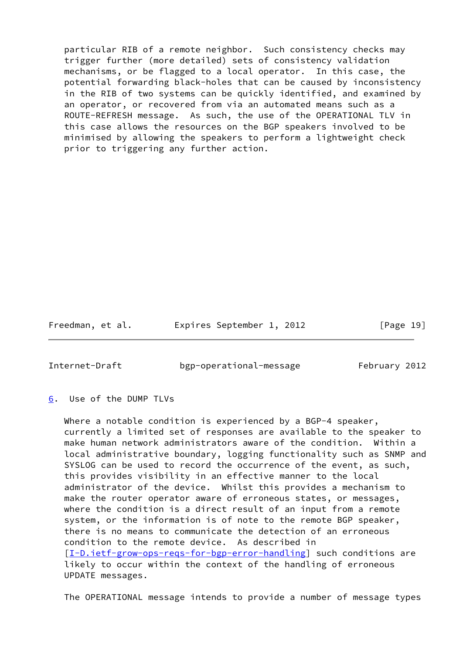particular RIB of a remote neighbor. Such consistency checks may trigger further (more detailed) sets of consistency validation mechanisms, or be flagged to a local operator. In this case, the potential forwarding black-holes that can be caused by inconsistency in the RIB of two systems can be quickly identified, and examined by an operator, or recovered from via an automated means such as a ROUTE-REFRESH message. As such, the use of the OPERATIONAL TLV in this case allows the resources on the BGP speakers involved to be minimised by allowing the speakers to perform a lightweight check prior to triggering any further action.

Freedman, et al. 
Expires September 1, 2012
[Page 19]

<span id="page-21-1"></span>Internet-Draft bgp-operational-message February 2012

# <span id="page-21-0"></span>[6](#page-21-0). Use of the DUMP TLVs

 Where a notable condition is experienced by a BGP-4 speaker, currently a limited set of responses are available to the speaker to make human network administrators aware of the condition. Within a local administrative boundary, logging functionality such as SNMP and SYSLOG can be used to record the occurrence of the event, as such, this provides visibility in an effective manner to the local administrator of the device. Whilst this provides a mechanism to make the router operator aware of erroneous states, or messages, where the condition is a direct result of an input from a remote system, or the information is of note to the remote BGP speaker, there is no means to communicate the detection of an erroneous condition to the remote device. As described in [\[I-D.ietf-grow-ops-reqs-for-bgp-error-handling](#page-30-2)] such conditions are likely to occur within the context of the handling of erroneous UPDATE messages.

The OPERATIONAL message intends to provide a number of message types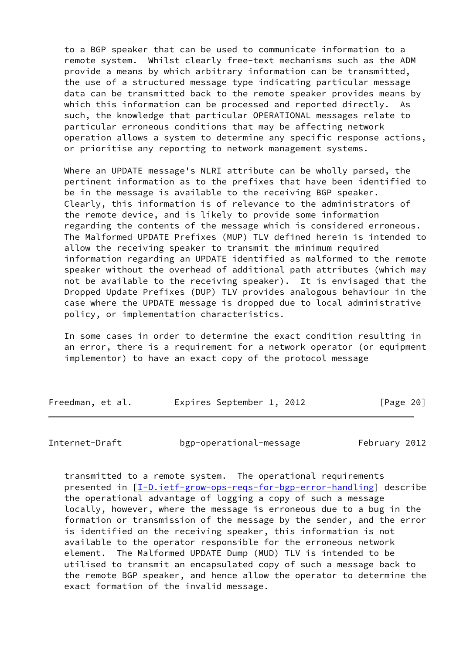to a BGP speaker that can be used to communicate information to a remote system. Whilst clearly free-text mechanisms such as the ADM provide a means by which arbitrary information can be transmitted, the use of a structured message type indicating particular message data can be transmitted back to the remote speaker provides means by which this information can be processed and reported directly. As such, the knowledge that particular OPERATIONAL messages relate to particular erroneous conditions that may be affecting network operation allows a system to determine any specific response actions, or prioritise any reporting to network management systems.

 Where an UPDATE message's NLRI attribute can be wholly parsed, the pertinent information as to the prefixes that have been identified to be in the message is available to the receiving BGP speaker. Clearly, this information is of relevance to the administrators of the remote device, and is likely to provide some information regarding the contents of the message which is considered erroneous. The Malformed UPDATE Prefixes (MUP) TLV defined herein is intended to allow the receiving speaker to transmit the minimum required information regarding an UPDATE identified as malformed to the remote speaker without the overhead of additional path attributes (which may not be available to the receiving speaker). It is envisaged that the Dropped Update Prefixes (DUP) TLV provides analogous behaviour in the case where the UPDATE message is dropped due to local administrative policy, or implementation characteristics.

 In some cases in order to determine the exact condition resulting in an error, there is a requirement for a network operator (or equipment implementor) to have an exact copy of the protocol message

| Freedman, et al. |  | Expires September 1, 2012 |  | [Page 20] |  |
|------------------|--|---------------------------|--|-----------|--|
|                  |  |                           |  |           |  |

Internet-Draft bgp-operational-message February 2012

 transmitted to a remote system. The operational requirements presented in [I-D.ietf-grow-ops-regs-for-bgp-error-handling] describe the operational advantage of logging a copy of such a message locally, however, where the message is erroneous due to a bug in the formation or transmission of the message by the sender, and the error is identified on the receiving speaker, this information is not available to the operator responsible for the erroneous network element. The Malformed UPDATE Dump (MUD) TLV is intended to be utilised to transmit an encapsulated copy of such a message back to the remote BGP speaker, and hence allow the operator to determine the exact formation of the invalid message.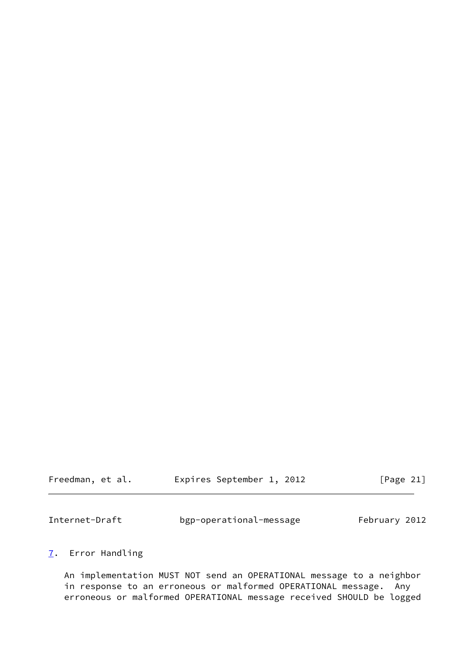| Freedman, et al. | Expires September 1, 2012 |  | [Page 21] |
|------------------|---------------------------|--|-----------|
|------------------|---------------------------|--|-----------|

<span id="page-23-1"></span>

| Internet-Draft | bgp-operational-message | February 2012 |
|----------------|-------------------------|---------------|
|----------------|-------------------------|---------------|

# <span id="page-23-0"></span>[7](#page-23-0). Error Handling

 An implementation MUST NOT send an OPERATIONAL message to a neighbor in response to an erroneous or malformed OPERATIONAL message. Any erroneous or malformed OPERATIONAL message received SHOULD be logged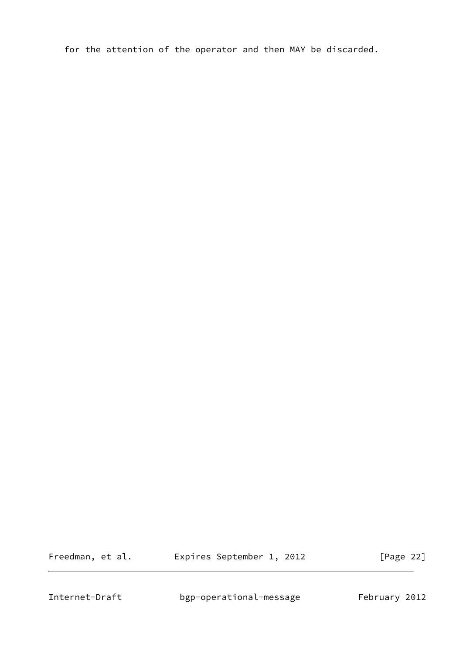for the attention of the operator and then MAY be discarded.

Freedman, et al. **Expires September 1, 2012** [Page 22]

<span id="page-24-0"></span>Internet-Draft bgp-operational-message February 2012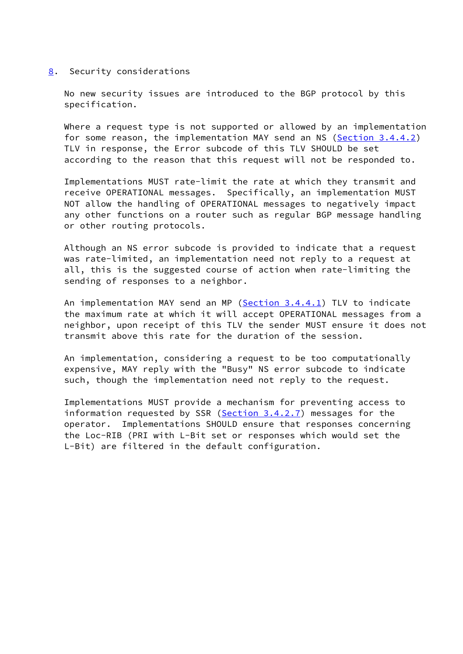### <span id="page-25-0"></span>[8](#page-25-0). Security considerations

 No new security issues are introduced to the BGP protocol by this specification.

 Where a request type is not supported or allowed by an implementation for some reason, the implementation MAY send an NS ([Section 3.4.4.2\)](#page-15-0) TLV in response, the Error subcode of this TLV SHOULD be set according to the reason that this request will not be responded to.

 Implementations MUST rate-limit the rate at which they transmit and receive OPERATIONAL messages. Specifically, an implementation MUST NOT allow the handling of OPERATIONAL messages to negatively impact any other functions on a router such as regular BGP message handling or other routing protocols.

 Although an NS error subcode is provided to indicate that a request was rate-limited, an implementation need not reply to a request at all, this is the suggested course of action when rate-limiting the sending of responses to a neighbor.

 An implementation MAY send an MP [\(Section 3.4.4.1](#page-14-1)) TLV to indicate the maximum rate at which it will accept OPERATIONAL messages from a neighbor, upon receipt of this TLV the sender MUST ensure it does not transmit above this rate for the duration of the session.

 An implementation, considering a request to be too computationally expensive, MAY reply with the "Busy" NS error subcode to indicate such, though the implementation need not reply to the request.

 Implementations MUST provide a mechanism for preventing access to information requested by SSR ( $Section 3.4.2.7$ ) messages for the operator. Implementations SHOULD ensure that responses concerning the Loc-RIB (PRI with L-Bit set or responses which would set the L-Bit) are filtered in the default configuration.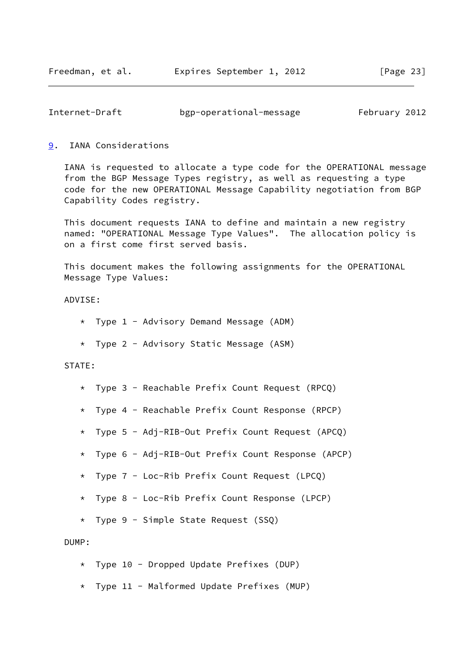<span id="page-26-1"></span>

| Internet-Draft |                         | February 2012 |  |
|----------------|-------------------------|---------------|--|
|                | bgp-operational-message |               |  |

## <span id="page-26-0"></span>[9](#page-26-0). IANA Considerations

 IANA is requested to allocate a type code for the OPERATIONAL message from the BGP Message Types registry, as well as requesting a type code for the new OPERATIONAL Message Capability negotiation from BGP Capability Codes registry.

 This document requests IANA to define and maintain a new registry named: "OPERATIONAL Message Type Values". The allocation policy is on a first come first served basis.

 This document makes the following assignments for the OPERATIONAL Message Type Values:

## ADVISE:

- \* Type 1 Advisory Demand Message (ADM)
- \* Type 2 Advisory Static Message (ASM)

### STATE:

- \* Type 3 Reachable Prefix Count Request (RPCQ)
- \* Type 4 Reachable Prefix Count Response (RPCP)
- \* Type 5 Adj-RIB-Out Prefix Count Request (APCQ)
- \* Type 6 Adj-RIB-Out Prefix Count Response (APCP)
- \* Type 7 Loc-Rib Prefix Count Request (LPCQ)
- \* Type 8 Loc-Rib Prefix Count Response (LPCP)
- \* Type 9 Simple State Request (SSQ)

### DUMP:

- \* Type 10 Dropped Update Prefixes (DUP)
- \* Type 11 Malformed Update Prefixes (MUP)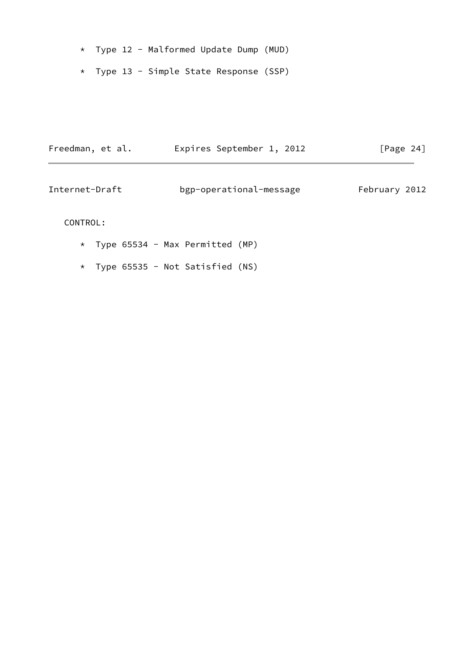- \* Type 12 Malformed Update Dump (MUD)
- \* Type 13 Simple State Response (SSP)

| Freedman, et al. | Expires September 1, 2012 | [Page $24$ ]  |  |
|------------------|---------------------------|---------------|--|
| Internet-Draft   | bgp-operational-message   | February 2012 |  |

# CONTROL:

- \* Type 65534 Max Permitted (MP)
- \* Type 65535 Not Satisfied (NS)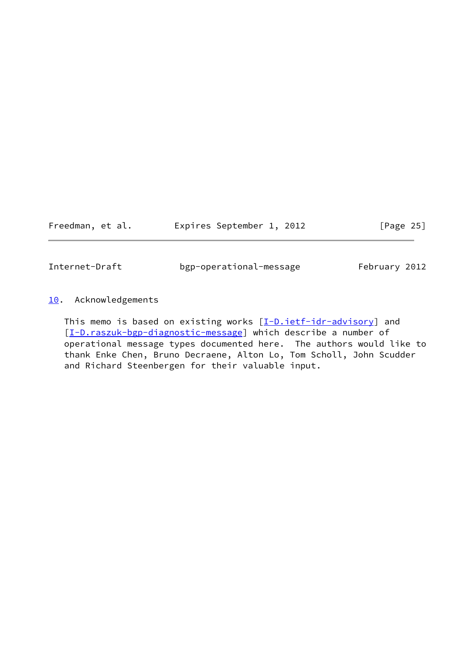Freedman, et al. 
Expires September 1, 2012
[Page 25]

<span id="page-28-1"></span>Internet-Draft bgp-operational-message February 2012

# <span id="page-28-0"></span>[10.](#page-28-0) Acknowledgements

This memo is based on existing works [\[I-D.ietf-idr-advisory\]](#page-30-3) and [\[I-D.raszuk-bgp-diagnostic-message](#page-30-4)] which describe a number of operational message types documented here. The authors would like to thank Enke Chen, Bruno Decraene, Alton Lo, Tom Scholl, John Scudder and Richard Steenbergen for their valuable input.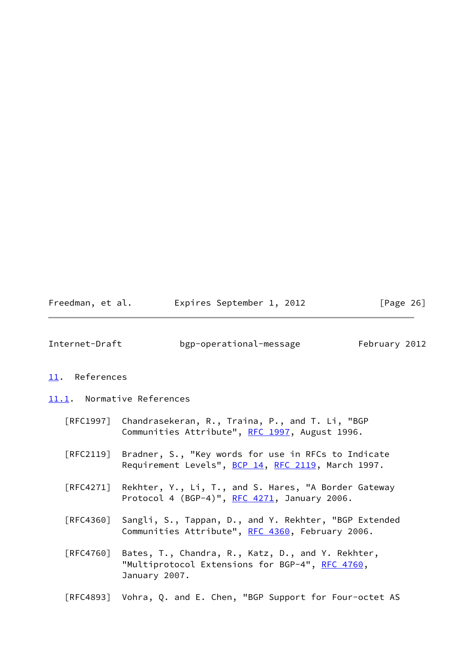| Freedman, et al. | Expires September 1, 2012 | [Page 26] |
|------------------|---------------------------|-----------|
|------------------|---------------------------|-----------|

<span id="page-29-1"></span>

| Internet-Draft | bgp-operational-message | February 2012 |  |
|----------------|-------------------------|---------------|--|
|                |                         |               |  |

### <span id="page-29-0"></span>[11.](#page-29-0) References

- <span id="page-29-2"></span>[11.1](#page-29-2). Normative References
	- [RFC1997] Chandrasekeran, R., Traina, P., and T. Li, "BGP Communities Attribute", [RFC 1997,](https://datatracker.ietf.org/doc/pdf/rfc1997) August 1996.
	- [RFC2119] Bradner, S., "Key words for use in RFCs to Indicate Requirement Levels", [BCP 14](https://datatracker.ietf.org/doc/pdf/bcp14), [RFC 2119](https://datatracker.ietf.org/doc/pdf/rfc2119), March 1997.
	- [RFC4271] Rekhter, Y., Li, T., and S. Hares, "A Border Gateway Protocol 4 (BGP-4)", [RFC 4271](https://datatracker.ietf.org/doc/pdf/rfc4271), January 2006.
	- [RFC4360] Sangli, S., Tappan, D., and Y. Rekhter, "BGP Extended Communities Attribute", [RFC 4360,](https://datatracker.ietf.org/doc/pdf/rfc4360) February 2006.
	- [RFC4760] Bates, T., Chandra, R., Katz, D., and Y. Rekhter, "Multiprotocol Extensions for BGP-4", [RFC 4760](https://datatracker.ietf.org/doc/pdf/rfc4760), January 2007.
	- [RFC4893] Vohra, Q. and E. Chen, "BGP Support for Four-octet AS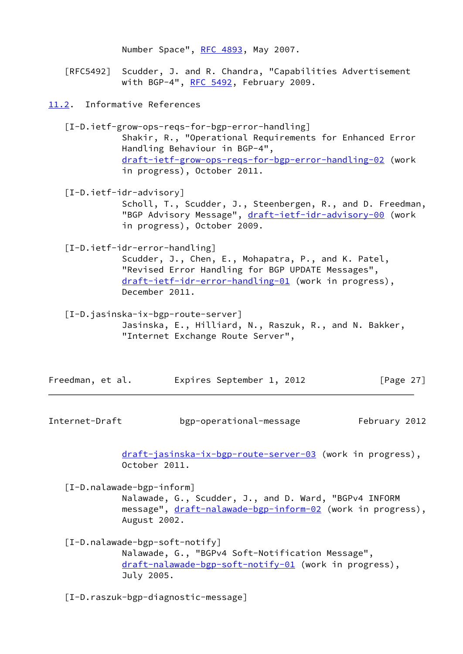Number Space", [RFC 4893](https://datatracker.ietf.org/doc/pdf/rfc4893), May 2007.

 [RFC5492] Scudder, J. and R. Chandra, "Capabilities Advertisement with BGP-4", [RFC 5492](https://datatracker.ietf.org/doc/pdf/rfc5492), February 2009.

<span id="page-30-0"></span>[11.2](#page-30-0). Informative References

<span id="page-30-2"></span> [I-D.ietf-grow-ops-reqs-for-bgp-error-handling] Shakir, R., "Operational Requirements for Enhanced Error Handling Behaviour in BGP-4", [draft-ietf-grow-ops-reqs-for-bgp-error-handling-02](https://datatracker.ietf.org/doc/pdf/draft-ietf-grow-ops-reqs-for-bgp-error-handling-02) (work in progress), October 2011.

<span id="page-30-3"></span>[I-D.ietf-idr-advisory]

 Scholl, T., Scudder, J., Steenbergen, R., and D. Freedman, "BGP Advisory Message", [draft-ietf-idr-advisory-00](https://datatracker.ietf.org/doc/pdf/draft-ietf-idr-advisory-00) (work in progress), October 2009.

<span id="page-30-1"></span>[I-D.ietf-idr-error-handling]

 Scudder, J., Chen, E., Mohapatra, P., and K. Patel, "Revised Error Handling for BGP UPDATE Messages", [draft-ietf-idr-error-handling-01](https://datatracker.ietf.org/doc/pdf/draft-ietf-idr-error-handling-01) (work in progress), December 2011.

 [I-D.jasinska-ix-bgp-route-server] Jasinska, E., Hilliard, N., Raszuk, R., and N. Bakker, "Internet Exchange Route Server",

| Freedman, et al. | Expires September 1, 2012 |  | [Page 27] |
|------------------|---------------------------|--|-----------|
|------------------|---------------------------|--|-----------|

Internet-Draft bgp-operational-message February 2012

 [draft-jasinska-ix-bgp-route-server-03](https://datatracker.ietf.org/doc/pdf/draft-jasinska-ix-bgp-route-server-03) (work in progress), October 2011.

 [I-D.nalawade-bgp-inform] Nalawade, G., Scudder, J., and D. Ward, "BGPv4 INFORM message", [draft-nalawade-bgp-inform-02](https://datatracker.ietf.org/doc/pdf/draft-nalawade-bgp-inform-02) (work in progress), August 2002.

 [I-D.nalawade-bgp-soft-notify] Nalawade, G., "BGPv4 Soft-Notification Message", [draft-nalawade-bgp-soft-notify-01](https://datatracker.ietf.org/doc/pdf/draft-nalawade-bgp-soft-notify-01) (work in progress), July 2005.

<span id="page-30-4"></span>[I-D.raszuk-bgp-diagnostic-message]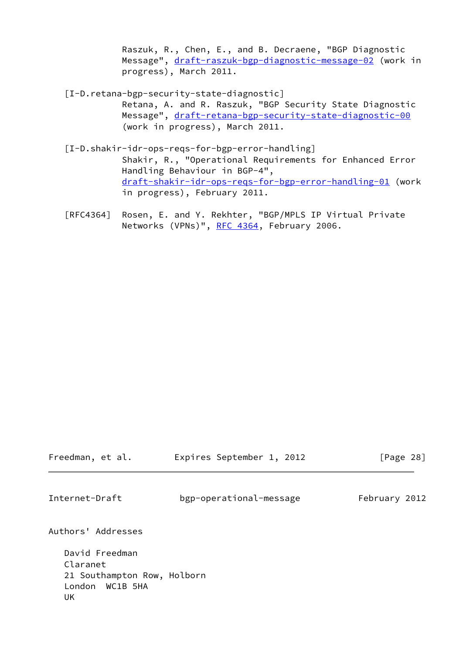Raszuk, R., Chen, E., and B. Decraene, "BGP Diagnostic Message", [draft-raszuk-bgp-diagnostic-message-02](https://datatracker.ietf.org/doc/pdf/draft-raszuk-bgp-diagnostic-message-02) (work in progress), March 2011.

- [I-D.retana-bgp-security-state-diagnostic] Retana, A. and R. Raszuk, "BGP Security State Diagnostic Message", [draft-retana-bgp-security-state-diagnostic-00](https://datatracker.ietf.org/doc/pdf/draft-retana-bgp-security-state-diagnostic-00) (work in progress), March 2011.
- [I-D.shakir-idr-ops-reqs-for-bgp-error-handling] Shakir, R., "Operational Requirements for Enhanced Error Handling Behaviour in BGP-4", [draft-shakir-idr-ops-reqs-for-bgp-error-handling-01](https://datatracker.ietf.org/doc/pdf/draft-shakir-idr-ops-reqs-for-bgp-error-handling-01) (work in progress), February 2011.
- [RFC4364] Rosen, E. and Y. Rekhter, "BGP/MPLS IP Virtual Private Networks (VPNs)", [RFC 4364](https://datatracker.ietf.org/doc/pdf/rfc4364), February 2006.

<span id="page-31-0"></span>

| Freedman, et al.                                                                      | Expires September 1, 2012 | [Page 28]     |
|---------------------------------------------------------------------------------------|---------------------------|---------------|
| Internet-Draft                                                                        | bgp-operational-message   | February 2012 |
| Authors' Addresses                                                                    |                           |               |
| David Freedman<br>Claranet<br>21 Southampton Row, Holborn<br>London<br>WC1B 5HA<br>UK |                           |               |